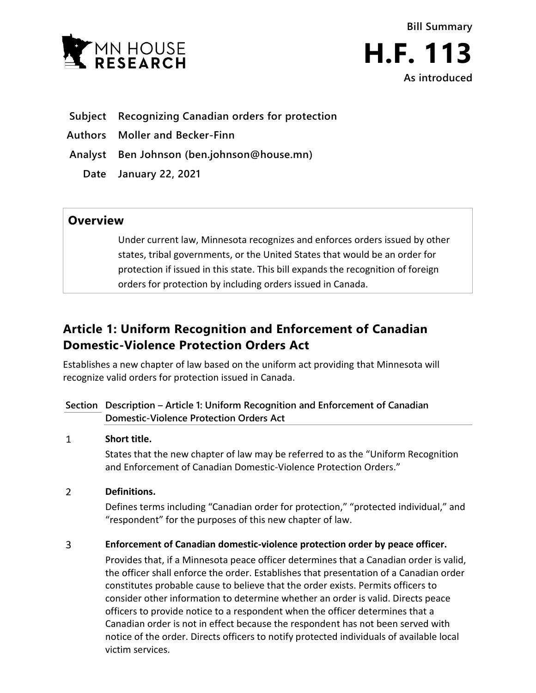



- **Subject Recognizing Canadian orders for protection**
- **Authors Moller and Becker-Finn**
- **Analyst Ben Johnson (ben.johnson@house.mn)**
	- **Date January 22, 2021**

### **Overview**

Under current law, Minnesota recognizes and enforces orders issued by other states, tribal governments, or the United States that would be an order for protection if issued in this state. This bill expands the recognition of foreign orders for protection by including orders issued in Canada.

# **Article 1: Uniform Recognition and Enforcement of Canadian Domestic-Violence Protection Orders Act**

Establishes a new chapter of law based on the uniform act providing that Minnesota will recognize valid orders for protection issued in Canada.

### **Section Description – Article 1: Uniform Recognition and Enforcement of Canadian Domestic-Violence Protection Orders Act**

#### $\mathbf{1}$ **Short title.**

States that the new chapter of law may be referred to as the "Uniform Recognition and Enforcement of Canadian Domestic-Violence Protection Orders."

#### $\overline{2}$ **Definitions.**

Defines terms including "Canadian order for protection," "protected individual," and "respondent" for the purposes of this new chapter of law.

#### $\overline{3}$ **Enforcement of Canadian domestic-violence protection order by peace officer.**

Provides that, if a Minnesota peace officer determines that a Canadian order is valid, the officer shall enforce the order. Establishes that presentation of a Canadian order constitutes probable cause to believe that the order exists. Permits officers to consider other information to determine whether an order is valid. Directs peace officers to provide notice to a respondent when the officer determines that a Canadian order is not in effect because the respondent has not been served with notice of the order. Directs officers to notify protected individuals of available local victim services.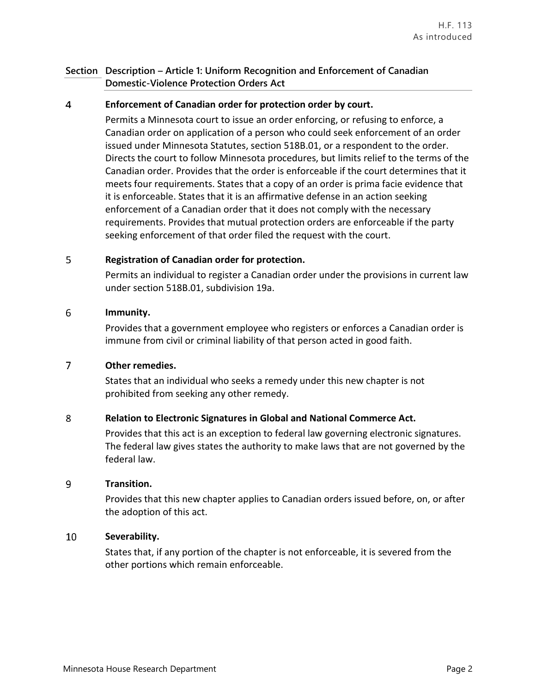### **Section Description – Article 1: Uniform Recognition and Enforcement of Canadian Domestic-Violence Protection Orders Act**

#### 4 **Enforcement of Canadian order for protection order by court.**

Permits a Minnesota court to issue an order enforcing, or refusing to enforce, a Canadian order on application of a person who could seek enforcement of an order issued under Minnesota Statutes, section 518B.01, or a respondent to the order. Directs the court to follow Minnesota procedures, but limits relief to the terms of the Canadian order. Provides that the order is enforceable if the court determines that it meets four requirements. States that a copy of an order is prima facie evidence that it is enforceable. States that it is an affirmative defense in an action seeking enforcement of a Canadian order that it does not comply with the necessary requirements. Provides that mutual protection orders are enforceable if the party seeking enforcement of that order filed the request with the court.

#### 5 **Registration of Canadian order for protection.**

Permits an individual to register a Canadian order under the provisions in current law under section 518B.01, subdivision 19a.

#### 6 **Immunity.**

Provides that a government employee who registers or enforces a Canadian order is immune from civil or criminal liability of that person acted in good faith.

#### $\overline{7}$ **Other remedies.**

States that an individual who seeks a remedy under this new chapter is not prohibited from seeking any other remedy.

#### 8 **Relation to Electronic Signatures in Global and National Commerce Act.**

Provides that this act is an exception to federal law governing electronic signatures. The federal law gives states the authority to make laws that are not governed by the federal law.

#### 9 **Transition.**

Provides that this new chapter applies to Canadian orders issued before, on, or after the adoption of this act.

#### $10<sup>°</sup>$ **Severability.**

States that, if any portion of the chapter is not enforceable, it is severed from the other portions which remain enforceable.